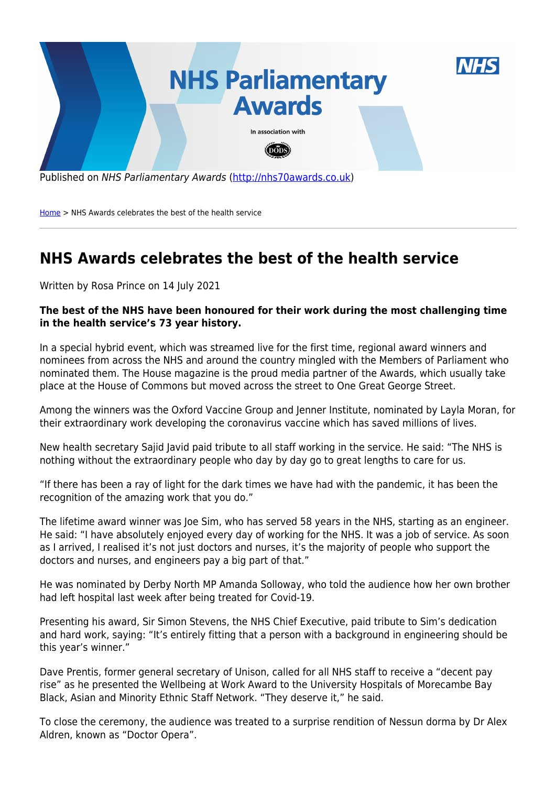

[Home](http://nhs70awards.co.uk/) > NHS Awards celebrates the best of the health service

## **NHS Awards celebrates the best of the health service**

Written by Rosa Prince on 14 July 2021

## **The best of the NHS have been honoured for their work during the most challenging time in the health service's 73 year history.**

In a special hybrid event, which was streamed live for the first time, regional award winners and nominees from across the NHS and around the country mingled with the Members of Parliament who nominated them. The House magazine is the proud media partner of the Awards, which usually take place at the House of Commons but moved across the street to One Great George Street.

Among the winners was the Oxford Vaccine Group and Jenner Institute, nominated by Layla Moran, for their extraordinary work developing the coronavirus vaccine which has saved millions of lives.

New health secretary Sajid Javid paid tribute to all staff working in the service. He said: "The NHS is nothing without the extraordinary people who day by day go to great lengths to care for us.

"If there has been a ray of light for the dark times we have had with the pandemic, it has been the recognition of the amazing work that you do."

The lifetime award winner was Joe Sim, who has served 58 years in the NHS, starting as an engineer. He said: "I have absolutely enjoyed every day of working for the NHS. It was a job of service. As soon as I arrived, I realised it's not just doctors and nurses, it's the majority of people who support the doctors and nurses, and engineers pay a big part of that."

He was nominated by Derby North MP Amanda Solloway, who told the audience how her own brother had left hospital last week after being treated for Covid-19.

Presenting his award, Sir Simon Stevens, the NHS Chief Executive, paid tribute to Sim's dedication and hard work, saying: "It's entirely fitting that a person with a background in engineering should be this year's winner."

Dave Prentis, former general secretary of Unison, called for all NHS staff to receive a "decent pay rise" as he presented the Wellbeing at Work Award to the University Hospitals of Morecambe Bay Black, Asian and Minority Ethnic Staff Network. "They deserve it," he said.

To close the ceremony, the audience was treated to a surprise rendition of Nessun dorma by Dr Alex Aldren, known as "Doctor Opera".